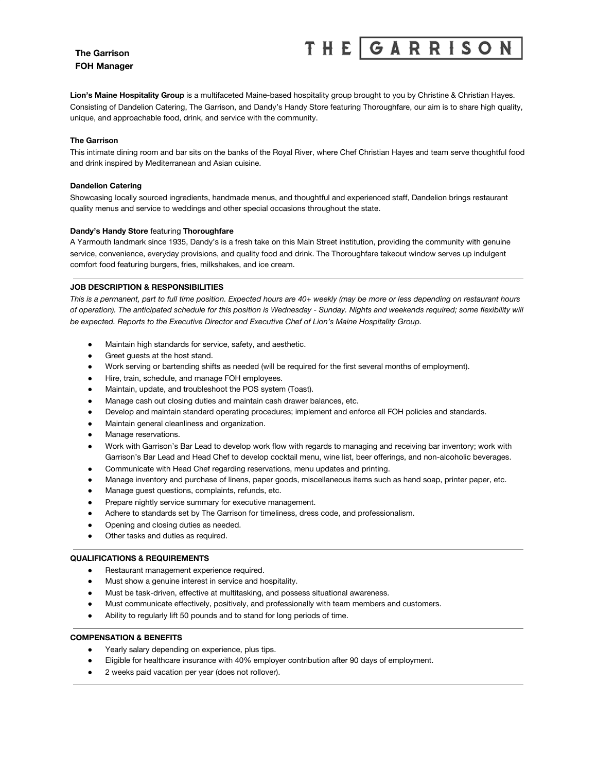## **The Garrison FOH Manager**

### GARRISO **THE**

**Lion's Maine Hospitality Group** is a multifaceted Maine-based hospitality group brought to you by Christine & Christian Hayes. Consisting of Dandelion Catering, The Garrison, and Dandy's Handy Store featuring Thoroughfare, our aim is to share high quality, unique, and approachable food, drink, and service with the community.

#### **The Garrison**

This intimate dining room and bar sits on the banks of the Royal River, where Chef Christian Hayes and team serve thoughtful food and drink inspired by Mediterranean and Asian cuisine.

#### **Dandelion Catering**

Showcasing locally sourced ingredients, handmade menus, and thoughtful and experienced staff, Dandelion brings restaurant quality menus and service to weddings and other special occasions throughout the state.

#### **Dandy's Handy Store** featuring **Thoroughfare**

A Yarmouth landmark since 1935, Dandy's is a fresh take on this Main Street institution, providing the community with genuine service, convenience, everyday provisions, and quality food and drink. The Thoroughfare takeout window serves up indulgent comfort food featuring burgers, fries, milkshakes, and ice cream.

#### **JOB DESCRIPTION & RESPONSIBILITIES**

This is a permanent, part to full time position. Expected hours are 40+ weekly (may be more or less depending on restaurant hours of operation). The anticipated schedule for this position is Wednesday - Sunday. Nights and weekends required; some flexibility will *be expected. Reports to the Executive Director and Executive Chef of Lion's Maine Hospitality Group.*

- Maintain high standards for service, safety, and aesthetic.
- Greet guests at the host stand.
- Work serving or bartending shifts as needed (will be required for the first several months of employment).
- Hire, train, schedule, and manage FOH employees.
- Maintain, update, and troubleshoot the POS system (Toast).
- Manage cash out closing duties and maintain cash drawer balances, etc.
- Develop and maintain standard operating procedures; implement and enforce all FOH policies and standards.
- Maintain general cleanliness and organization.
- Manage reservations.
- Work with Garrison's Bar Lead to develop work flow with regards to managing and receiving bar inventory; work with Garrison's Bar Lead and Head Chef to develop cocktail menu, wine list, beer offerings, and non-alcoholic beverages.
- Communicate with Head Chef regarding reservations, menu updates and printing.
- Manage inventory and purchase of linens, paper goods, miscellaneous items such as hand soap, printer paper, etc.
- Manage guest questions, complaints, refunds, etc.
- Prepare nightly service summary for executive management.
- Adhere to standards set by The Garrison for timeliness, dress code, and professionalism.
- Opening and closing duties as needed.
- Other tasks and duties as required.

#### **QUALIFICATIONS & REQUIREMENTS**

- Restaurant management experience required.
- Must show a genuine interest in service and hospitality.
- Must be task-driven, effective at multitasking, and possess situational awareness.
- Must communicate effectively, positively, and professionally with team members and customers.
- Ability to regularly lift 50 pounds and to stand for long periods of time.

#### **COMPENSATION & BENEFITS**

- Yearly salary depending on experience, plus tips.
- Eligible for healthcare insurance with 40% employer contribution after 90 days of employment.
- 2 weeks paid vacation per year (does not rollover).